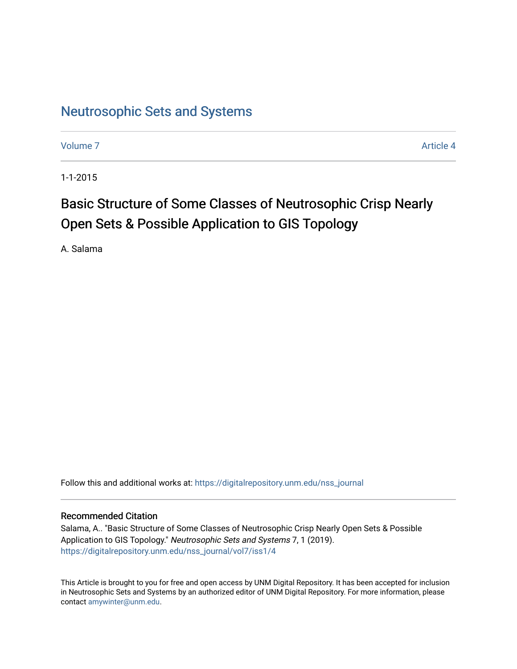# [Neutrosophic Sets and Systems](https://digitalrepository.unm.edu/nss_journal)

[Volume 7](https://digitalrepository.unm.edu/nss_journal/vol7) Article 4

1-1-2015

# Basic Structure of Some Classes of Neutrosophic Crisp Nearly Open Sets & Possible Application to GIS Topology

A. Salama

Follow this and additional works at: [https://digitalrepository.unm.edu/nss\\_journal](https://digitalrepository.unm.edu/nss_journal?utm_source=digitalrepository.unm.edu%2Fnss_journal%2Fvol7%2Fiss1%2F4&utm_medium=PDF&utm_campaign=PDFCoverPages) 

# Recommended Citation

Salama, A.. "Basic Structure of Some Classes of Neutrosophic Crisp Nearly Open Sets & Possible Application to GIS Topology." Neutrosophic Sets and Systems 7, 1 (2019). [https://digitalrepository.unm.edu/nss\\_journal/vol7/iss1/4](https://digitalrepository.unm.edu/nss_journal/vol7/iss1/4?utm_source=digitalrepository.unm.edu%2Fnss_journal%2Fvol7%2Fiss1%2F4&utm_medium=PDF&utm_campaign=PDFCoverPages) 

This Article is brought to you for free and open access by UNM Digital Repository. It has been accepted for inclusion in Neutrosophic Sets and Systems by an authorized editor of UNM Digital Repository. For more information, please contact [amywinter@unm.edu](mailto:amywinter@unm.edu).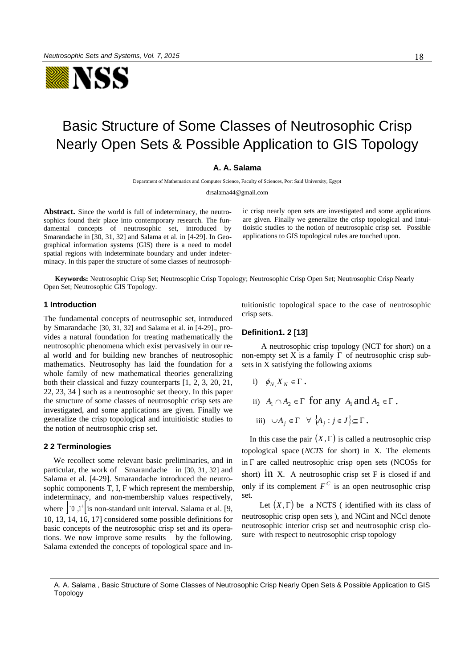

# Basic Structure of Some Classes of Neutrosophic Crisp Nearly Open Sets & Possible Application to GIS Topology

# **A. A. Salama**

Department of Mathematics and Computer Science, Faculty of Sciences, Port Said University, Egypt

[drsalama44@gmail.com](mailto:drsalama44@gmail.com)

**Abstract.** Since the world is full of indeterminacy, the neutrosophics found their place into contemporary research. The fundamental concepts of neutrosophic set, introduced by Smarandache in [30, 31, 32] and Salama et al. in [4-29]. In Geographical information systems (GIS) there is a need to model spatial regions with indeterminate boundary and under indeterminacy. In this paper the structure of some classes of neutrosophic crisp nearly open sets are investigated and some applications are given. Finally we generalize the crisp topological and intuitioistic studies to the notion of neutrosophic crisp set. Possible applications to GIS topological rules are touched upon.

**Keywords:** Neutrosophic Crisp Set; Neutrosophic Crisp Topology; Neutrosophic Crisp Open Set; Neutrosophic Crisp Nearly Open Set; Neutrosophic GIS Topology.

### **1 Introduction**

The fundamental concepts of neutrosophic set, introduced by Smarandache [30, 31, 32] and Salama et al. in [4-29]., provides a natural foundation for treating mathematically the neutrosophic phenomena which exist pervasively in our real world and for building new branches of neutrosophic mathematics. Neutrosophy has laid the foundation for a whole family of new mathematical theories generalizing both their classical and fuzzy counterparts [1, 2, 3, 20, 21, 22, 23, 34 ] such as a neutrosophic set theory. In this paper the structure of some classes of neutrosophic crisp sets are investigated, and some applications are given. Finally we generalize the crisp topological and intuitioistic studies to the notion of neutrosophic crisp set.

#### **2 2 Terminologies**

 We recollect some relevant basic preliminaries, and in particular, the work of Smarandache in [30, 31, 32] and Salama et al. [4-29]. Smarandache introduced the neutrosophic components T, I, F which represent the membership, indeterminacy, and non-membership values respectively, where  $\begin{bmatrix} 0 \\ 1 \end{bmatrix}$  is non-standard unit interval. Salama et al. [9, 10, 13, 14, 16, 17] considered some possible definitions for basic concepts of the neutrosophic crisp set and its operations. We now improve some results by the following. Salama extended the concepts of topological space and intuitionistic topological space to the case of neutrosophic crisp sets.

#### **Definition1. 2 [13]**

A neutrosophic crisp topology (NCT for short) on a non-empty set X is a family  $\Gamma$  of neutrosophic crisp subsets in X satisfying the following axioms

\n- i) 
$$
\phi_N, X_N \in \Gamma
$$
.
\n- ii)  $A_1 \cap A_2 \in \Gamma$  for any  $A_1$  and  $A_2 \in \Gamma$ .
\n- iii)  $\cup A_j \in \Gamma \ \ \forall \ \{A_j : j \in J\} \subseteq \Gamma$ .
\n

In this case the pair  $(X, \Gamma)$  is called a neutrosophic crisp topological space (*NCTS* for short) in X. The elements in  $\Gamma$  are called neutrosophic crisp open sets (NCOSs for short) in X. A neutrosophic crisp set F is closed if and only if its complement  $F^C$  is an open neutrosophic crisp set.

Let  $(X, \Gamma)$  be a NCTS (identified with its class of neutrosophic crisp open sets ), and NCint and NCcl denote neutrosophic interior crisp set and neutrosophic crisp closure with respect to neutrosophic crisp topology

A. A. Salama , Basic Structure of Some Classes of Neutrosophic Crisp Nearly Open Sets & Possible Application to GIS Topology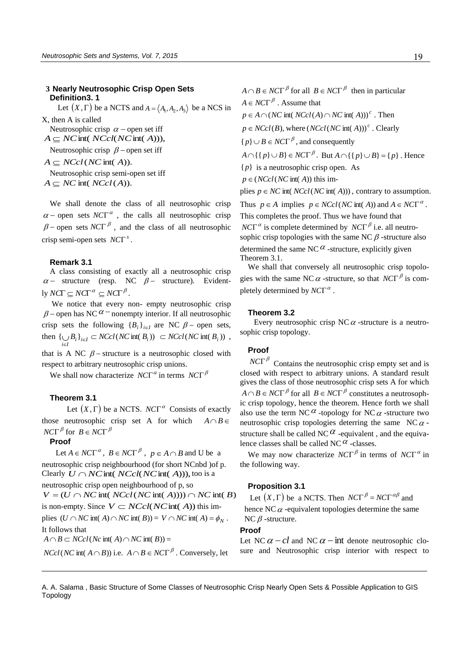# **3 Nearly Neutrosophic Crisp Open Sets Definition3. 1**

Let  $(X, \Gamma)$  be a NCTS and  $A = \langle A_1, A_2, A_3 \rangle$  be a NCS in X, then A is called

Neutrosophic crisp  $\alpha$  – open set iff  $A \subseteq NC$  int(  $NCcl(NC$  int( A))),

Neutrosophic crisp  $\beta$  – open set iff

 $A \subset NCcl(NC \text{ int}(A)).$ 

Neutrosophic crisp semi-open set iff  $A \subseteq NC$  int(  $NCol(A)$ ).

We shall denote the class of all neutrosophic crisp  $\alpha$  – open sets *NC* $\Gamma^{\alpha}$ , the calls all neutrosophic crisp  $\beta$  – open sets *NC* $\Gamma$ <sup> $\beta$ </sup>, and the class of all neutrosophic crisp semi-open sets  $NCT<sup>s</sup>$ .

#### **Remark 3.1**

A class consisting of exactly all a neutrosophic crisp  $\alpha$  - structure (resp. NC  $\beta$  - structure). Evidently  $NCT \subseteq NCT^{\alpha} \subseteq NCT^{\beta}$ .

 We notice that every non- empty neutrosophic crisp  $\beta$  – open has NC  $\alpha$  – nonempty interior. If all neutrosophic crisp sets the following  ${B_i}_{i \in I}$  are NC  $\beta$  – open sets, then  $\{\bigcup B_i\}_{i \in I} \subset NCcl(NC \text{ int}(B_i)) \subset NCcl(NC \text{ int}(B_i))$ , *i*∈I ë

that is A NC  $\beta$  -structure is a neutrosophic closed with respect to arbitrary neutrosophic crisp unions.

We shall now characterize  $NCT^{\alpha}$  in terms  $NCT^{\beta}$ 

# **Theorem 3.1**

Let  $(X, \Gamma)$  be a NCTS. *NC* $\Gamma^{\alpha}$  Consists of exactly those neutrosophic crisp set A for which  $A \cap B \in$  $NCT$ <sup> $\beta$ </sup> for  $B \in NCT$ <sup> $\beta$ </sup>

### **Proof**

Let  $A \in NCT^{\alpha}$ ,  $B \in NCT^{\beta}$ ,  $p \in A \cap B$  and U be a neutrosophic crisp neighbourhood (for short NCnbd )of p. Clearly  $U \cap NC$  int(  $NCcl(NC$  int( A))), too is a neutrosophic crisp open neighbourhood of p, so  $V = (U \cap NC \text{ int}(NCol(NC \text{ int}(A)))) \cap NC \text{ int}(B)$ is non-empty. Since  $V \subset NCcl(NCint(A))$  this implies  $(U \cap NC \text{ int}(A) \cap NC \text{ int}(B)) = V \cap NC \text{ int}(A) = \phi_N$ . It follows that  $A \cap B \subset NCcl(Nc \text{ int}(A) \cap NC \text{ int}(B)) =$ *NCcl* (*NC* int( $A \cap B$ )) i.e.  $A \cap B \in NCF^{\beta}$ . Conversely, let

 $A \cap B \in NCT^{\beta}$  for all  $B \in NCT^{\beta}$  then in particular  $A \in NCT^{\beta}$ . Assume that

 $p \in A \cap (NC$  int( $NCcl(A) \cap NC$  int( $A$ )))<sup>c</sup>. Then  $p \in NCcl(B)$ , where  $(NCcl(NC \text{ int}(A)))^c$ . Clearly  ${p} \cup B \in NCT^{\beta}$ , and consequently  $A \cap \{\{p\} \cup B\} \in NCT^{\beta}$ . But  $A \cap \{\{p\} \cup B\} = \{p\}$ . Hence  ${p}$  is a neutrosophic crisp open. As  $p \in (NCcl(NC \text{ int}(A)) \text{ this im-}$ plies  $p \in NC$  int(*NCcl*(*NC* int(*A*))), contrary to assumption.

Thus  $p \in A$  implies  $p \in NCcl(NC \text{ int}(A))$  and  $A \in NC\Gamma^{\alpha}$ . This completes the proof. Thus we have found that  $NCT^{\alpha}$  is complete determined by  $NCT^{\beta}$  i.e. all neutrosophic crisp topologies with the same NC $\beta$ -structure also determined the same NC $\alpha$ -structure, explicitly given Theorem 3.1.

We shall that conversely all neutrosophic crisp topologies with the same NC  $\alpha$  -structure, so that  $NCT^{\beta}$  is completely determined by  $NCT^{\alpha}$ .

#### **Theorem 3.2**

Every neutrosophic crisp NC $\alpha$ -structure is a neutrosophic crisp topology.

# **Proof**

 $NCT^{\beta}$  Contains the neutrosophic crisp empty set and is closed with respect to arbitrary unions. A standard result gives the class of those neutrosophic crisp sets A for which  $A \cap B \in NCT^{\beta}$  for all  $B \in NCT^{\beta}$  constitutes a neutrosophic crisp topology, hence the theorem. Hence forth we shall also use the term NC $^{\alpha}$ -topology for NC $\alpha$ -structure two neutrosophic crisp topologies deterring the same NC $\alpha$ structure shall be called NC  $^{\alpha}$  -equivalent, and the equivalence classes shall be called NC $\alpha$ -classes.

We may now characterize  $NCT^{\beta}$  in terms of  $NCT^{\alpha}$  in the following way.

# **Proposition 3.1**

Let  $(X, \Gamma)$  be a NCTS. Then  $NCT^{\beta} = NCT^{\alpha\beta}$  and hence NC $\alpha$ -equivalent topologies determine the same NC  $\beta$  -structure.

#### **Proof**

Let NC  $\alpha$  –  $cl$  and NC  $\alpha$  – int denote neutrosophic closure and Neutrosophic crisp interior with respect to

A. A. Salama , Basic Structure of Some Classes of Neutrosophic Crisp Nearly Open Sets & Possible Application to GIS Topology

 $\_$  ,  $\_$  ,  $\_$  ,  $\_$  ,  $\_$  ,  $\_$  ,  $\_$  ,  $\_$  ,  $\_$  ,  $\_$  ,  $\_$  ,  $\_$  ,  $\_$  ,  $\_$  ,  $\_$  ,  $\_$  ,  $\_$  ,  $\_$  ,  $\_$  ,  $\_$  ,  $\_$  ,  $\_$  ,  $\_$  ,  $\_$  ,  $\_$  ,  $\_$  ,  $\_$  ,  $\_$  ,  $\_$  ,  $\_$  ,  $\_$  ,  $\_$  ,  $\_$  ,  $\_$  ,  $\_$  ,  $\_$  ,  $\_$  ,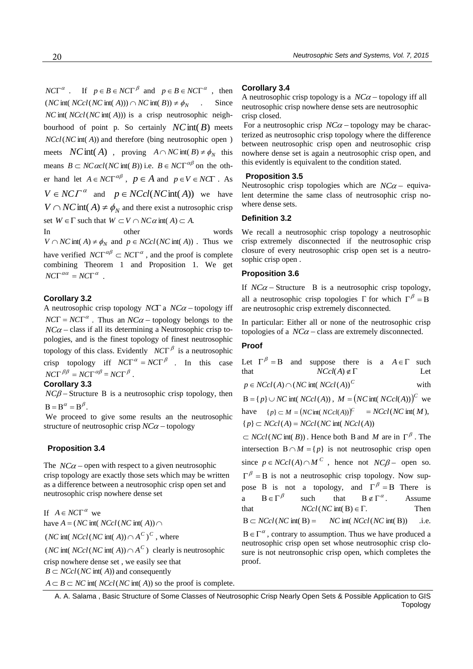$NCT^{\alpha}$ . If  $p \in B \in NCT^{\beta}$  and  $p \in B \in NCT^{\alpha}$ , then  $(NC \text{ int}(NCcl(NC \text{ int}(A))) \cap NC \text{ int}(B)) \neq \phi_N$ . Since *NC* int(*NCcl* (*NC* int( $A$ ))) is a crisp neutrosophic neighbourhood of point p. So certainly  $NC$  int( $B$ ) meets *NCcl*(*NC* int(A)) and therefore (bing neutrosophic open) meets *NC* int(*A*), proving  $A \cap NC$  int(*B*)  $\neq \phi_N$  this means  $B \subset NC \alpha c l(NC \text{ int}(B))$  i.e.  $B \in NC \Gamma^{\alpha \beta}$  on the other hand let  $A \in NCT^{\alpha\beta}$ ,  $p \in A$  and  $p \in V \in NCT$ . As  $V \in NCT^{\alpha}$  and  $p \in NCcl(NCint(A))$  we have  $V \cap NC$  **int**( $A$ )  $\neq \phi_N$  and there exist a nutrosophic crisp set  $W \in \Gamma$  such that  $W \subset V \cap NC\alpha$  int(A)  $\subset A$ . In other words

 $V \cap NC$  int(A)  $\neq \phi_N$  and  $p \in NCcl(NC$  int(A)). Thus we have verified  $NCT^{\alpha\beta} \subset NCT^{\alpha}$ , and the proof is complete combining Theorem 1 and Proposition 1. We get  $NCT^{\alpha\alpha} = NCT^{\alpha}$ .

# **Corollary 3.2**

A neutrosophic crisp topology  $NCT$  a  $NC\alpha$  -topology iff  $NCT = NCT^{\alpha}$ . Thus an  $NCA$  – topology belongs to the  $NC\alpha$  – class if all its determining a Neutrosophic crisp topologies, and is the finest topology of finest neutrosophic topology of this class. Evidently  $NCT^{\beta}$  is a neutrosophic crisp topology iff  $NCT^{\alpha} = NCT^{\beta}$ . In this case  $NCT^{\beta\beta} = NCT^{\alpha\beta} = NCT^{\beta}$ .

# **Corollary 3.3**

 $NC\beta$  – Structure B is a neutrosophic crisp topology, then  $B = B^{\alpha} = B^{\beta}$ .

 We proceed to give some results an the neutrosophic structure of neutrosophic crisp  $NC\alpha$  - topology

# **Proposition 3.4**

The  $NC\alpha$  – open with respect to a given neutrosophic crisp topology are exactly those sets which may be written as a difference between a neutrosophic crisp open set and neutrosophic crisp nowhere dense set

If  $A \in NCT^{\alpha}$  we have  $A = (NC \text{ int} (NCcl(NC \text{ int} (A)) \cap$ *(NC* int(*NCcl* (*NC* int(*A*))  $\cap$  *A<sup>C</sup>*)<sup>*C*</sup>, where *(NC* int(*NCcl (NC* int(*A*))  $\cap$  *A<sup>C</sup>*) clearly is neutrosophic crisp nowhere dense set , we easily see that

 $B \subset NCcl(NC \text{ int}(A))$  and consequently

 $A \subset B \subset NC$  int(*NCcl*(*NC* int( *A*)) so the proof is complete.

#### **Corollary 3.4**

A neutrosophic crisp topology is a  $NC\alpha$  - topology iff all neutrosophic crisp nowhere dense sets are neutrosophic crisp closed.

For a neutrosophic crisp  $NC\alpha$  -topology may be characterized as neutrosophic crisp topology where the difference between neutrosophic crisp open and neutrosophic crisp nowhere dense set is again a neutrosophic crisp open, and this evidently is equivalent to the condition stated.

#### **Proposition 3.5**

Neutrosophic crisp topologies which are  $NC\alpha$  - equivalent determine the same class of neutrosophic crisp nowhere dense sets.

### **Definition 3.2**

We recall a neutrosophic crisp topology a neutrosophic crisp extremely disconnected if the neutrosophic crisp closure of every neutrosophic crisp open set is a neutrosophic crisp open .

### **Proposition 3.6**

If  $NC\alpha$  – Structure B is a neutrosophic crisp topology, all a neutrosophic crisp topologies  $\Gamma$  for which  $\Gamma^{\beta} = B$ are neutrosophic crisp extremely disconnected.

In particular: Either all or none of the neutrosophic crisp topologies of a  $NC\alpha$  - class are extremely disconnected.

# **Proof**

|                                                                                   |  |  |  |  | Let $\Gamma^{\beta} = B$ and suppose there is a $A \in \Gamma$ such         |  |                         |  |  |  |  |     |
|-----------------------------------------------------------------------------------|--|--|--|--|-----------------------------------------------------------------------------|--|-------------------------|--|--|--|--|-----|
| that                                                                              |  |  |  |  |                                                                             |  | $NCol(A) \notin \Gamma$ |  |  |  |  | Let |
| $p \in NCcl(A) \cap (NC$ int( $NCcl(A))^C$<br>with                                |  |  |  |  |                                                                             |  |                         |  |  |  |  |     |
| $B = \{p\} \cup NC$ int( $NCcl(A)$ ), $M = (NC$ int( $NCcl(A))$ ) <sup>C</sup> we |  |  |  |  |                                                                             |  |                         |  |  |  |  |     |
|                                                                                   |  |  |  |  | have $\{p\} \subset M = (NC\text{int}(NCcl(A)))^C = NCcl(NC\text{int}(M)),$ |  |                         |  |  |  |  |     |
|                                                                                   |  |  |  |  | ${p} \subset NCcl(A) = NCcl(NC \text{ int}(NCol(A))$                        |  |                         |  |  |  |  |     |

 $\subset NCcl(NC \text{ int}(B))$ . Hence both B and M are in  $\Gamma^{\beta}$ . The intersection  $B \cap M = \{p\}$  is not neutrosophic crisp open since  $p \in NCcl(A) \cap M^C$ , hence not  $NC\beta$  - open so.  $\Gamma^{\beta} = B$  is not a neutrosophic crisp topology. Now suppose B is not a topology, and  $\Gamma^{\beta} = B$  There is a  $B \in \Gamma^\beta$ such that  $B \notin \Gamma^{\alpha}$ . Assume that  $NCcl(NC \text{ int}(B) \in \Gamma$ . Then  $B \subset NCcl(NC \text{ int}(B) = NC \text{ int}(NCcl(NC \text{ int}(B))$  .i.e.

 $B \in \Gamma^{\alpha}$ , contrary to assumption. Thus we have produced a neutrosophic crisp open set whose neutrosophic crisp closure is not neutronsophic crisp open, which completes the proof.

A. A. Salama , Basic Structure of Some Classes of Neutrosophic Crisp Nearly Open Sets & Possible Application to GIS Topology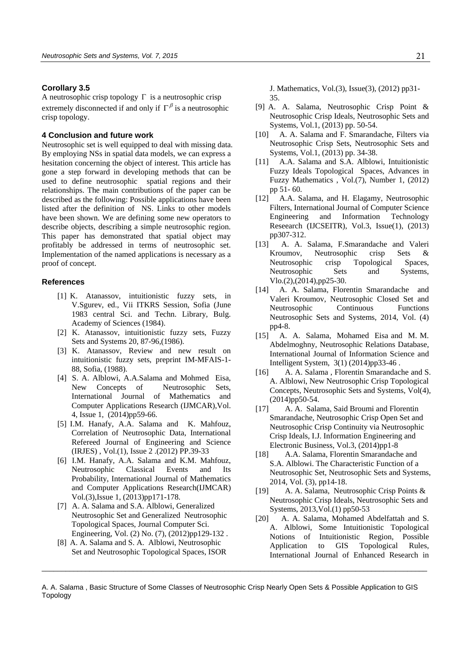### **Corollary 3.5**

A neutrosophic crisp topology  $\Gamma$  is a neutrosophic crisp extremely disconnected if and only if  $\Gamma^{\beta}$  is a neutrosophic crisp topology.

### **4 Conclusion and future work**

Neutrosophic set is well equipped to deal with missing data. By employing NSs in spatial data models, we can express a hesitation concerning the object of interest. This article has gone a step forward in developing methods that can be used to define neutrosophic spatial regions and their relationships. The main contributions of the paper can be described as the following: Possible applications have been listed after the definition of NS. Links to other models have been shown. We are defining some new operators to describe objects, describing a simple neutrosophic region. This paper has demonstrated that spatial object may profitably be addressed in terms of neutrosophic set. Implementation of the named applications is necessary as a proof of concept.

# **References**

- [1] K. Atanassov, intuitionistic fuzzy sets, in V.Sgurev, ed., Vii ITKRS Session, Sofia (June 1983 central Sci. and Techn. Library, Bulg. Academy of Sciences (1984).
- [2] K. Atanassov, intuitionistic fuzzy sets, Fuzzy Sets and Systems 20, 87-96,(1986).
- [3] K. Atanassov, Review and new result on intuitionistic fuzzy sets, preprint IM-MFAIS-1- 88, Sofia, (1988).
- [4] S. A. Alblowi, A.A.Salama and Mohmed Eisa, New Concepts of Neutrosophic Sets, International Journal of Mathematics and Computer Applications Research (IJMCAR),Vol. 4, Issue 1, (2014)pp59-66.
- [5] I.M. Hanafy, A.A. Salama and K. Mahfouz, Correlation of Neutrosophic Data, International Refereed Journal of Engineering and Science (IRJES) , Vol.(1), Issue 2 .(2012) PP.39-33
- [6] I.M. Hanafy, A.A. Salama and K.M. Mahfouz, Neutrosophic Classical Events and Its Probability, International Journal of Mathematics and Computer Applications Research(IJMCAR) Vol.(3),Issue 1, (2013)pp171-178.
- [7] A. A. Salama and S.A. Alblowi, Generalized Neutrosophic Set and Generalized Neutrosophic Topological Spaces, Journal Computer Sci. Engineering, Vol. (2) No. (7), (2012)pp129-132 .
- [8] A. A. Salama and S. A. Alblowi, Neutrosophic Set and Neutrosophic Topological Spaces, ISOR

J. Mathematics, Vol.(3), Issue(3), (2012) pp31- 35.

- [9] A. A. Salama, Neutrosophic Crisp Point & Neutrosophic Crisp Ideals, Neutrosophic Sets and Systems, Vol.1, (2013) pp. 50-54.
- [10] A. A. Salama and F. Smarandache, Filters via Neutrosophic Crisp Sets, Neutrosophic Sets and Systems, Vol.1, (2013) pp. 34-38.
- [11] A.A. Salama and S.A. Alblowi, Intuitionistic Fuzzy Ideals Topological Spaces, Advances in Fuzzy Mathematics , Vol.(7), Number 1, (2012) pp 51- 60.
- [12] A.A. Salama, and H. Elagamy, Neutrosophic Filters, International Journal of Computer Science Engineering and Information Technology Reseearch (IJCSEITR), Vol.3, Issue(1), (2013) pp307-312.
- [13] A. A. Salama, F.Smarandache and Valeri Kroumov, Neutrosophic crisp Sets & Neutrosophic crisp Topological Spaces, Neutrosophic Sets and Systems, Vlo.(2),(2014),pp25-30.
- [14] A. A. Salama, Florentin Smarandache and Valeri Kroumov, Neutrosophic Closed Set and Neutrosophic Continuous Functions Neutrosophic Sets and Systems, 2014, Vol. (4) pp4-8.
- [15] A. A. Salama, Mohamed Eisa and M. M. Abdelmoghny, Neutrosophic Relations Database, International Journal of Information Science and Intelligent System, 3(1) (2014)pp33-46 .
- [16] A. A. Salama, Florentin Smarandache and S. A. Alblowi, New Neutrosophic Crisp Topological Concepts, Neutrosophic Sets and Systems, Vol(4), (2014)pp50-54.
- [17] A. A. Salama, Said Broumi and Florentin Smarandache, Neutrosophic Crisp Open Set and Neutrosophic Crisp Continuity via Neutrosophic Crisp Ideals, I.J. Information Engineering and Electronic Business, Vol.3, (2014)pp1-8
- [18] A.A. Salama, Florentin Smarandache and S.A. Alblowi. The Characteristic Function of a Neutrosophic Set, Neutrosophic Sets and Systems, 2014, Vol. (3), pp14-18.
- [19] A. A. Salama, Neutrosophic Crisp Points & Neutrosophic Crisp Ideals, Neutrosophic Sets and Systems, 2013,Vol.(1) pp50-53
- [20] A. A. Salama, Mohamed Abdelfattah and S. A. Alblowi, Some Intuitionistic Topological Notions of Intuitionistic Region, Possible Application to GIS Topological Rules, International Journal of Enhanced Research in

A. A. Salama , Basic Structure of Some Classes of Neutrosophic Crisp Nearly Open Sets & Possible Application to GIS Topology

 $\_$  ,  $\_$  ,  $\_$  ,  $\_$  ,  $\_$  ,  $\_$  ,  $\_$  ,  $\_$  ,  $\_$  ,  $\_$  ,  $\_$  ,  $\_$  ,  $\_$  ,  $\_$  ,  $\_$  ,  $\_$  ,  $\_$  ,  $\_$  ,  $\_$  ,  $\_$  ,  $\_$  ,  $\_$  ,  $\_$  ,  $\_$  ,  $\_$  ,  $\_$  ,  $\_$  ,  $\_$  ,  $\_$  ,  $\_$  ,  $\_$  ,  $\_$  ,  $\_$  ,  $\_$  ,  $\_$  ,  $\_$  ,  $\_$  ,